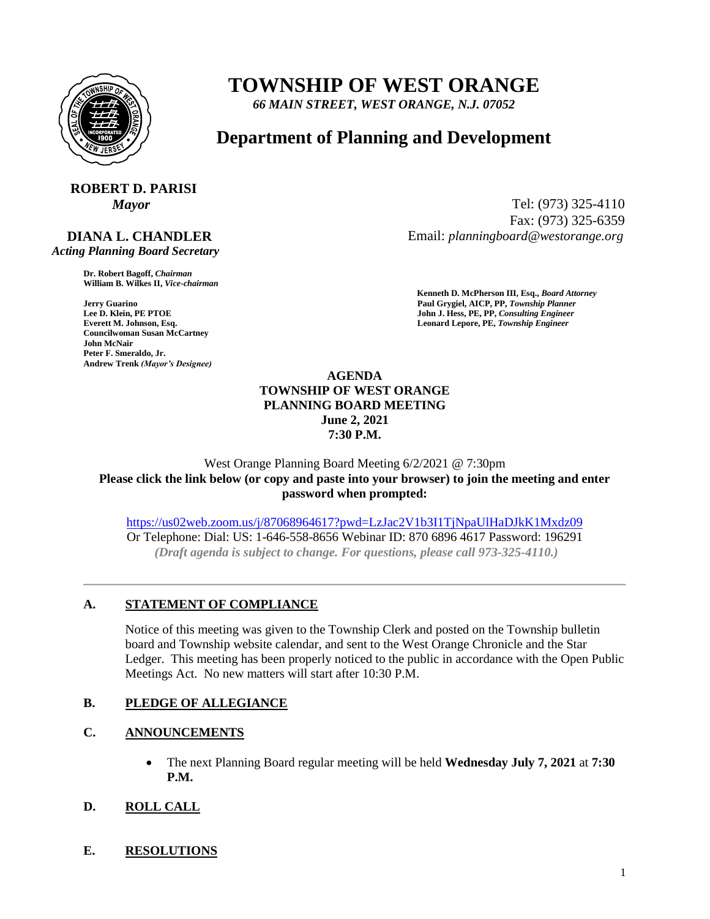

## **TOWNSHIP OF WEST ORANGE**

*66 MAIN STREET, WEST ORANGE, N.J. 07052*

### **Department of Planning and Development**

# **ROBERT D. PARISI**

### **DIANA L. CHANDLER**

 *Acting Planning Board Secretary*

**Dr. Robert Bagoff,** *Chairman*  **William B. Wilkes II,** *Vice-chairman* 

**Councilwoman Susan McCartney John McNair Peter F. Smeraldo, Jr. Andrew Trenk** *(Mayor's Designee)*

*Mayor* Tel: (973) 325-4110 Fax: (973) 325-6359 Email: *planningboard@westorange.org*

**Kenneth D. McPherson III, Esq.,** *Board Attorney*  **Jerry Guarino Paul Grygiel, AICP, PP,** *Township Planner*  **John J. Hess, PE, PP,** *Consulting Engineer* **Everett M. Johnson, Esq. Leonard Lepore, PE,** *Township Engineer* 

#### **AGENDA TOWNSHIP OF WEST ORANGE PLANNING BOARD MEETING June 2, 2021 7:30 P.M.**

West Orange Planning Board Meeting 6/2/2021 @ 7:30pm **Please click the link below (or copy and paste into your browser) to join the meeting and enter password when prompted:** 

<https://us02web.zoom.us/j/87068964617?pwd=LzJac2V1b3I1TjNpaUlHaDJkK1Mxdz09> Or Telephone: Dial: US: 1-646-558-8656 Webinar ID: 870 6896 4617 Password: 196291 *(Draft agenda is subject to change. For questions, please call 973-325-4110.)*

#### **A. STATEMENT OF COMPLIANCE**

Notice of this meeting was given to the Township Clerk and posted on the Township bulletin board and Township website calendar, and sent to the West Orange Chronicle and the Star Ledger. This meeting has been properly noticed to the public in accordance with the Open Public Meetings Act. No new matters will start after 10:30 P.M.

#### **B. PLEDGE OF ALLEGIANCE**

#### **C. ANNOUNCEMENTS**

- The next Planning Board regular meeting will be held **Wednesday July 7, 2021** at **7:30 P.M.**
- **D. ROLL CALL**
- **E. RESOLUTIONS**